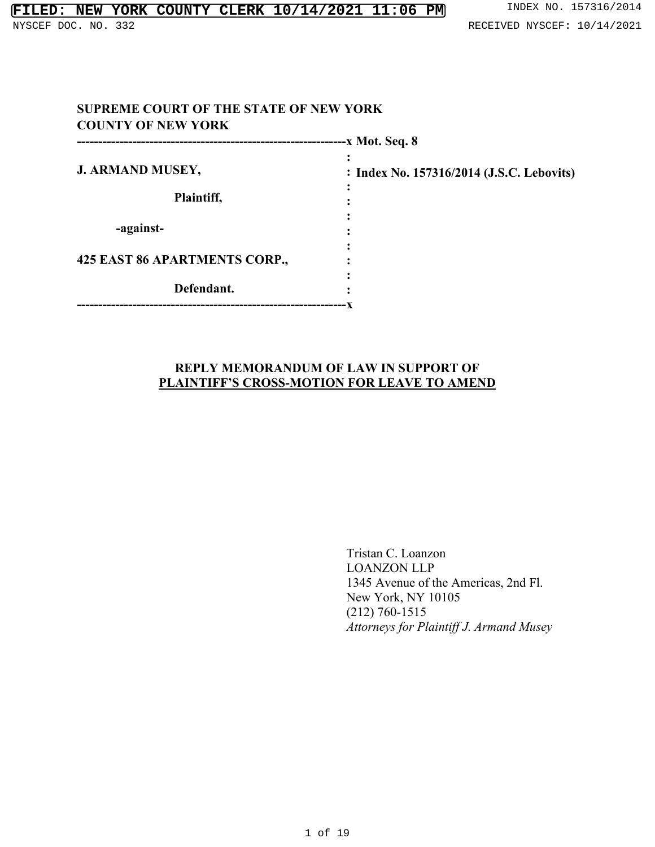|                               | -x Mot. Seq. 8                            |
|-------------------------------|-------------------------------------------|
| <b>J. ARMAND MUSEY,</b>       | : Index No. 157316/2014 (J.S.C. Lebovits) |
| Plaintiff,                    |                                           |
| -against-                     |                                           |
| 425 EAST 86 APARTMENTS CORP., |                                           |
| Defendant.                    |                                           |

## **REPLY MEMORANDUM OF LAW IN SUPPORT OF PLAINTIFF'S CROSS-MOTION FOR LEAVE TO AMEND**

Tristan C. Loanzon LOANZON LLP 1345 Avenue of the Americas, 2nd Fl. New York, NY 10105 (212) 760-1515 *Attorneys for Plaintiff J. Armand Musey*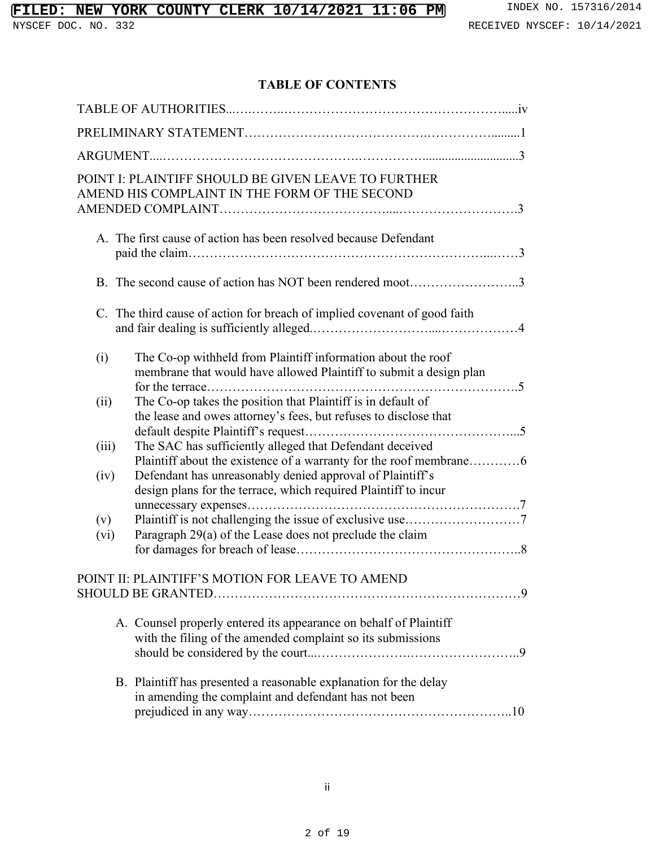# **FILED: NEW YORK COUNTY CLERK 10/14/2021 11:06 PM** INDEX NO. 157316/2014

# **TABLE OF CONTENTS**

|             | POINT I: PLAINTIFF SHOULD BE GIVEN LEAVE TO FURTHER<br>AMEND HIS COMPLAINT IN THE FORM OF THE SECOND                               |  |  |  |
|-------------|------------------------------------------------------------------------------------------------------------------------------------|--|--|--|
|             | A. The first cause of action has been resolved because Defendant                                                                   |  |  |  |
|             | B. The second cause of action has NOT been rendered moot3                                                                          |  |  |  |
|             | C. The third cause of action for breach of implied covenant of good faith                                                          |  |  |  |
| (i)         | The Co-op withheld from Plaintiff information about the roof<br>membrane that would have allowed Plaintiff to submit a design plan |  |  |  |
| (ii)        | The Co-op takes the position that Plaintiff is in default of<br>the lease and owes attorney's fees, but refuses to disclose that   |  |  |  |
| (iii)       | The SAC has sufficiently alleged that Defendant deceived<br>Plaintiff about the existence of a warranty for the roof membrane6     |  |  |  |
| (iv)        | Defendant has unreasonably denied approval of Plaintiff's<br>design plans for the terrace, which required Plaintiff to incur       |  |  |  |
| (v)<br>(vi) | Paragraph 29(a) of the Lease does not preclude the claim                                                                           |  |  |  |
|             | POINT II: PLAINTIFF'S MOTION FOR LEAVE TO AMEND                                                                                    |  |  |  |
|             | A. Counsel properly entered its appearance on behalf of Plaintiff<br>with the filing of the amended complaint so its submissions   |  |  |  |
|             | B. Plaintiff has presented a reasonable explanation for the delay<br>in amending the complaint and defendant has not been          |  |  |  |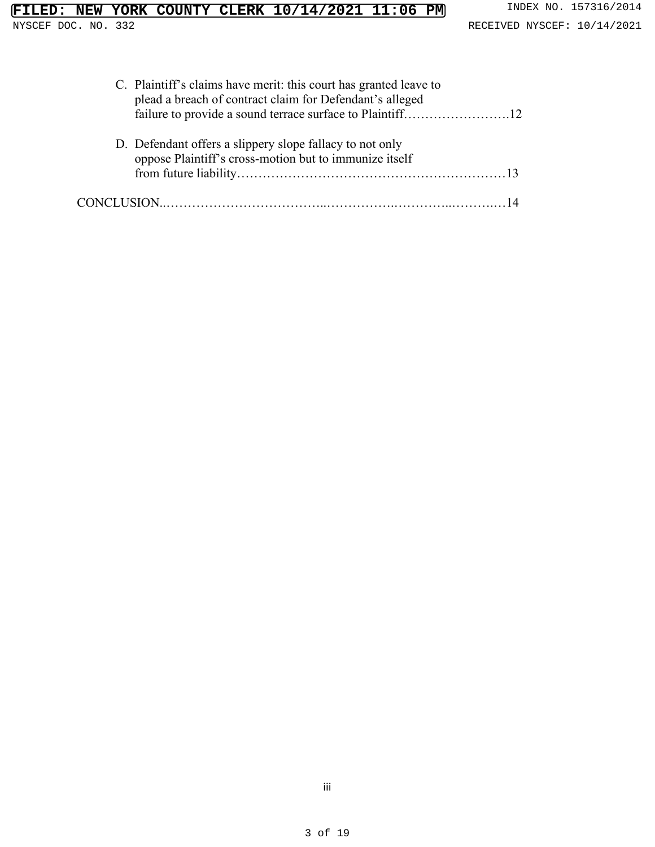| C. Plaintiff's claims have merit: this court has granted leave to<br>plead a breach of contract claim for Defendant's alleged |
|-------------------------------------------------------------------------------------------------------------------------------|
|                                                                                                                               |
| D. Defendant offers a slippery slope fallacy to not only<br>oppose Plaintiff's cross-motion but to immunize itself            |
|                                                                                                                               |
|                                                                                                                               |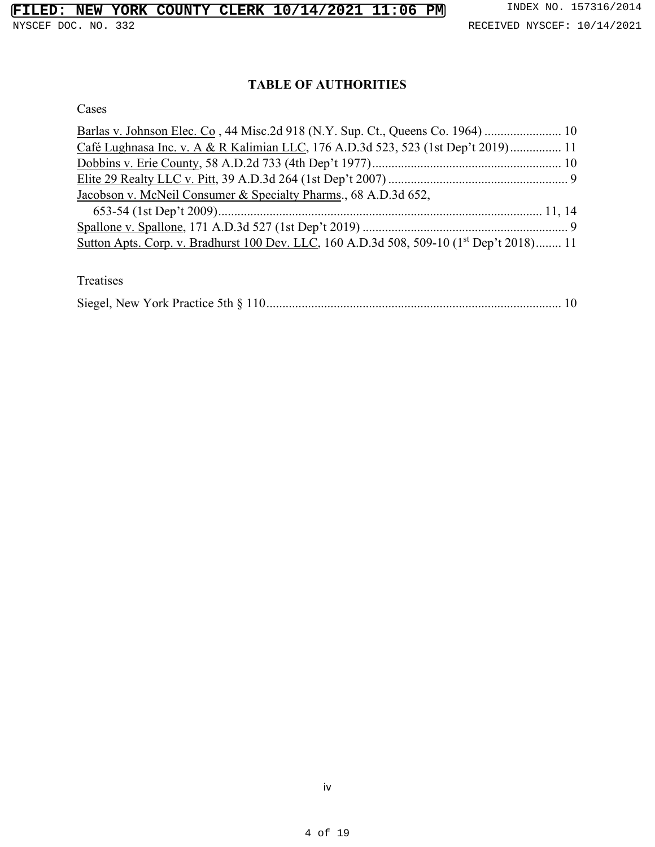# **TABLE OF AUTHORITIES**

Cases

| Café Lughnasa Inc. v. A & R Kalimian LLC, 176 A.D.3d 523, 523 (1st Dep't 2019) 11                    |  |
|------------------------------------------------------------------------------------------------------|--|
|                                                                                                      |  |
|                                                                                                      |  |
| Jacobson v. McNeil Consumer & Specialty Pharms., 68 A.D.3d 652,                                      |  |
|                                                                                                      |  |
|                                                                                                      |  |
| Sutton Apts. Corp. v. Bradhurst 100 Dev. LLC, 160 A.D.3d 508, 509-10 (1 <sup>st</sup> Dep't 2018) 11 |  |

Treatises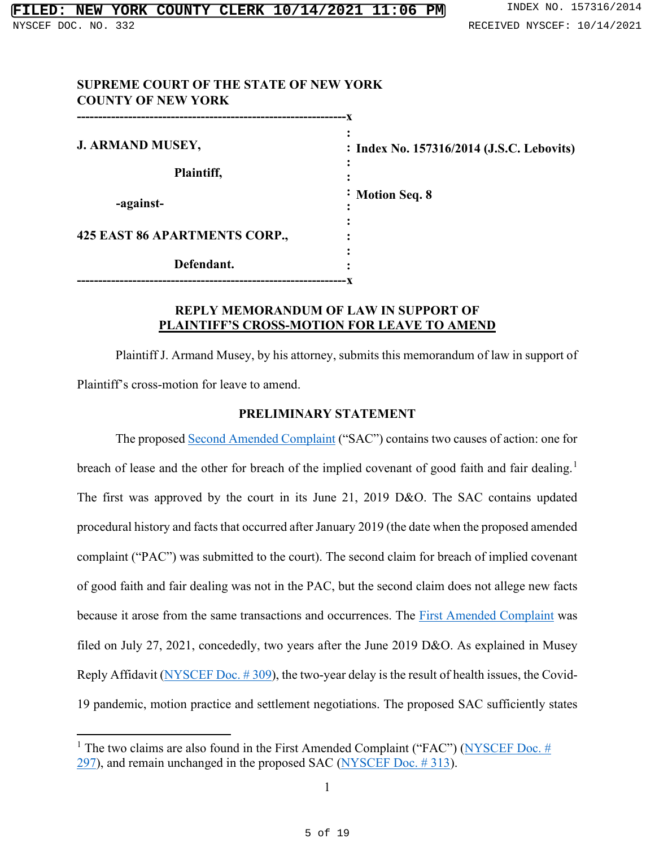| <b>SUPREME COURT OF THE STATE OF NEW YORK</b><br><b>COUNTY OF NEW YORK</b>  |                                           |
|-----------------------------------------------------------------------------|-------------------------------------------|
| <b>J. ARMAND MUSEY,</b>                                                     | : Index No. 157316/2014 (J.S.C. Lebovits) |
| Plaintiff,                                                                  |                                           |
| -against-                                                                   | $\cdot$ Motion Seq. 8                     |
| 425 EAST 86 APARTMENTS CORP.,                                               |                                           |
| Defendant.<br>----------------------------<br>----------------------------- |                                           |

## **REPLY MEMORANDUM OF LAW IN SUPPORT OF PLAINTIFF'S CROSS-MOTION FOR LEAVE TO AMEND**

Plaintiff J. Armand Musey, by his attorney, submits this memorandum of law in support of Plaintiff's cross-motion for leave to amend.

## **PRELIMINARY STATEMENT**

The proposed [Second Amended Complaint](https://iapps.courts.state.ny.us/nyscef/ViewDocument?docIndex=uXsPI1QC2e9xesAc4jJInQ==) ("SAC") contains two causes of action: one for breach of lease and the other for breach of the implied covenant of good faith and fair dealing.<sup>[1](#page-4-0)</sup> The first was approved by the court in its June 21, 2019 D&O. The SAC contains updated procedural history and facts that occurred after January 2019 (the date when the proposed amended complaint ("PAC") was submitted to the court). The second claim for breach of implied covenant of good faith and fair dealing was not in the PAC, but the second claim does not allege new facts because it arose from the same transactions and occurrences. The [First Amended Complaint](https://iapps.courts.state.ny.us/nyscef/ViewDocument?docIndex=x4VOjcWUeM9SHyQlpBHdLg==) was filed on July 27, 2021, concededly, two years after the June 2019 D&O. As explained in Musey Reply Affidavit [\(NYSCEF Doc. # 309\)](https://iapps.courts.state.ny.us/nyscef/ViewDocument?docIndex=pnpHErdYkNm6auSKE6mESQ==), the two-year delay is the result of health issues, the Covid-19 pandemic, motion practice and settlement negotiations. The proposed SAC sufficiently states

<span id="page-4-0"></span><sup>&</sup>lt;sup>1</sup> The two claims are also found in the First Amended Complaint ("FAC") (NYSCEF Doc.  $#$ [297\)](https://iapps.courts.state.ny.us/nyscef/ViewDocument?docIndex=x4VOjcWUeM9SHyQlpBHdLg==), and remain unchanged in the proposed SAC [\(NYSCEF Doc. # 313\)](https://iapps.courts.state.ny.us/nyscef/ViewDocument?docIndex=uXsPI1QC2e9xesAc4jJInQ==).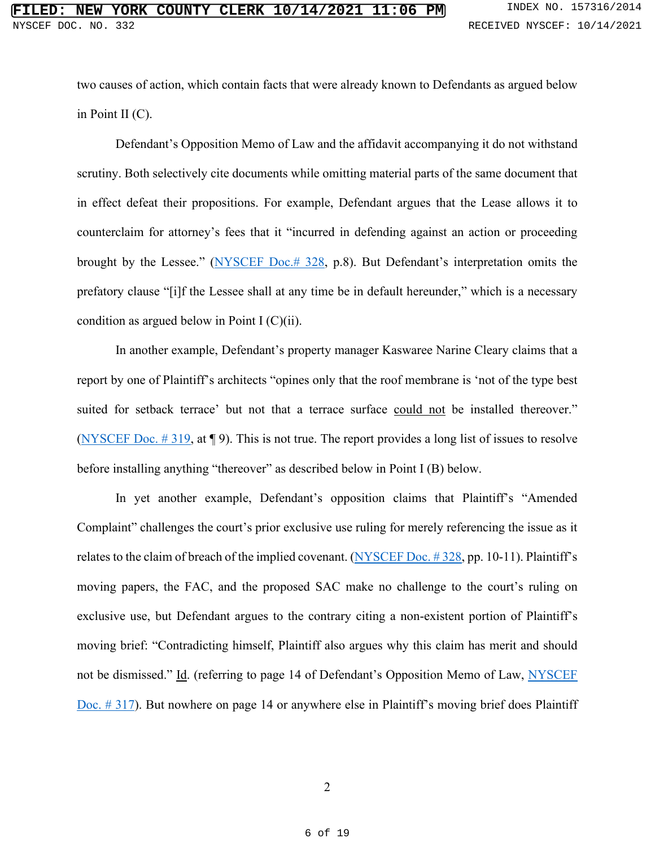two causes of action, which contain facts that were already known to Defendants as argued below in Point II (C).

Defendant's Opposition Memo of Law and the affidavit accompanying it do not withstand scrutiny. Both selectively cite documents while omitting material parts of the same document that in effect defeat their propositions. For example, Defendant argues that the Lease allows it to counterclaim for attorney's fees that it "incurred in defending against an action or proceeding brought by the Lessee." [\(NYSCEF Doc.# 328,](https://iapps.courts.state.ny.us/nyscef/ViewDocument?docIndex=sWykSavgCkk/jZWFKF91XA==) p.8). But Defendant's interpretation omits the prefatory clause "[i]f the Lessee shall at any time be in default hereunder," which is a necessary condition as argued below in Point I (C)(ii).

In another example, Defendant's property manager Kaswaree Narine Cleary claims that a report by one of Plaintiff's architects "opines only that the roof membrane is 'not of the type best suited for setback terrace' but not that a terrace surface could not be installed thereover." (NYSCEF Doc.  $\#$  319, at  $\P$  9). This is not true. The report provides a long list of issues to resolve before installing anything "thereover" as described below in Point I (B) below.

In yet another example, Defendant's opposition claims that Plaintiff's "Amended Complaint" challenges the court's prior exclusive use ruling for merely referencing the issue as it relates to the claim of breach of the implied covenant. (NYSCEF Doc.  $\#$  328, pp. 10-11). Plaintiff's moving papers, the FAC, and the proposed SAC make no challenge to the court's ruling on exclusive use, but Defendant argues to the contrary citing a non-existent portion of Plaintiff's moving brief: "Contradicting himself, Plaintiff also argues why this claim has merit and should not be dismissed." Id. (referring to page 14 of Defendant's Opposition Memo of Law, NYSCEF [Doc. # 317\)](https://iapps.courts.state.ny.us/nyscef/ViewDocument?docIndex=bUQp4xOMcphbJWVQv8k8gg==). But nowhere on page 14 or anywhere else in Plaintiff's moving brief does Plaintiff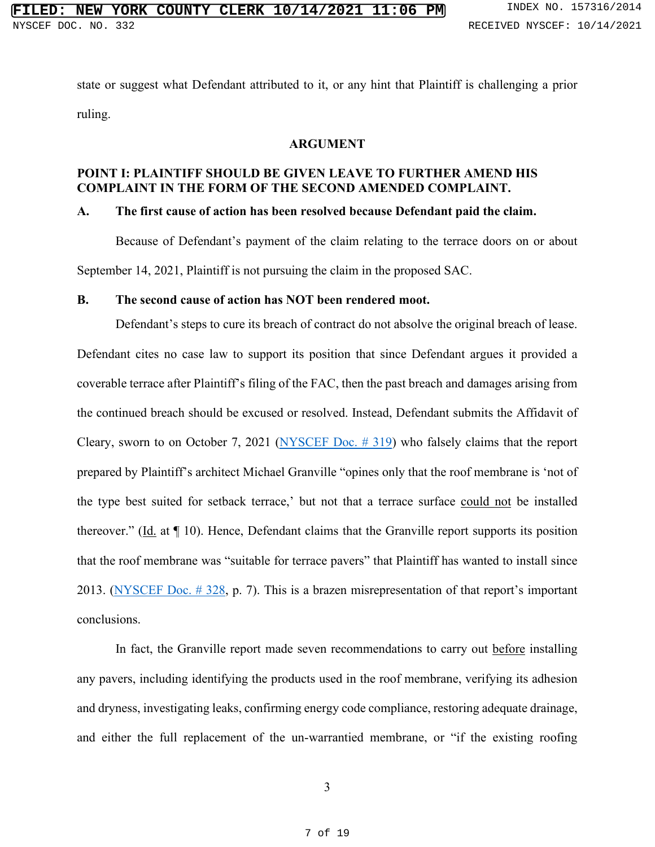state or suggest what Defendant attributed to it, or any hint that Plaintiff is challenging a prior ruling.

#### **ARGUMENT**

## **POINT I: PLAINTIFF SHOULD BE GIVEN LEAVE TO FURTHER AMEND HIS COMPLAINT IN THE FORM OF THE SECOND AMENDED COMPLAINT.**

## **A. The first cause of action has been resolved because Defendant paid the claim.**

Because of Defendant's payment of the claim relating to the terrace doors on or about September 14, 2021, Plaintiff is not pursuing the claim in the proposed SAC.

## **B. The second cause of action has NOT been rendered moot.**

Defendant's steps to cure its breach of contract do not absolve the original breach of lease. Defendant cites no case law to support its position that since Defendant argues it provided a coverable terrace after Plaintiff's filing of the FAC, then the past breach and damages arising from the continued breach should be excused or resolved. Instead, Defendant submits the Affidavit of Cleary, sworn to on October 7, 2021 [\(NYSCEF Doc. # 319\)](https://iapps.courts.state.ny.us/nyscef/ViewDocument?docIndex=zlTUQVutFRqp4EimKXJStA==) who falsely claims that the report prepared by Plaintiff's architect Michael Granville "opines only that the roof membrane is 'not of the type best suited for setback terrace,' but not that a terrace surface could not be installed thereover." (Id. at ¶ 10). Hence, Defendant claims that the Granville report supports its position that the roof membrane was "suitable for terrace pavers" that Plaintiff has wanted to install since 2013. [\(NYSCEF Doc. # 328,](https://iapps.courts.state.ny.us/nyscef/ViewDocument?docIndex=sWykSavgCkk/jZWFKF91XA==) p. 7). This is a brazen misrepresentation of that report's important conclusions.

In fact, the Granville report made seven recommendations to carry out before installing any pavers, including identifying the products used in the roof membrane, verifying its adhesion and dryness, investigating leaks, confirming energy code compliance, restoring adequate drainage, and either the full replacement of the un-warrantied membrane, or "if the existing roofing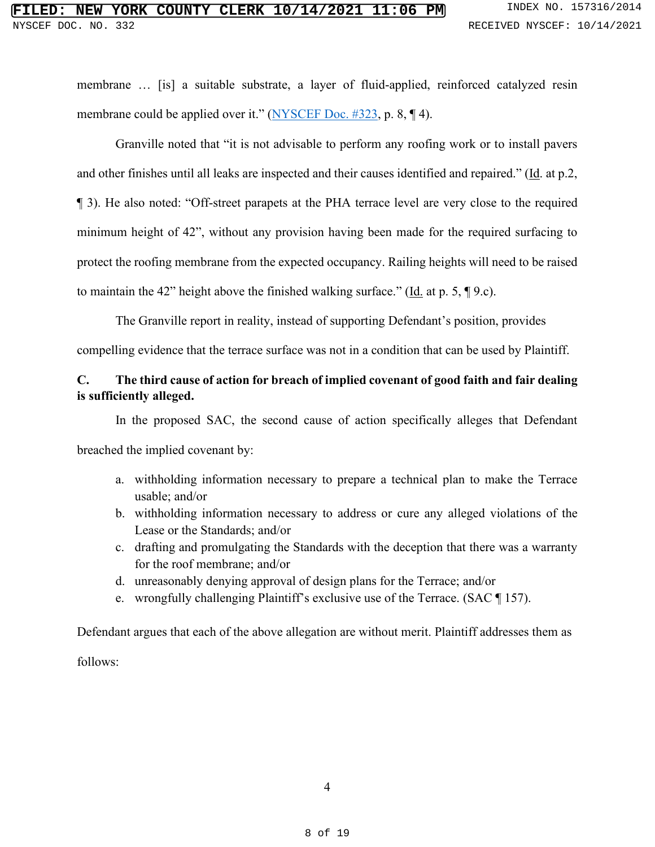membrane … [is] a suitable substrate, a layer of fluid-applied, reinforced catalyzed resin membrane could be applied over it." [\(NYSCEF Doc. #323,](https://iapps.courts.state.ny.us/nyscef/ViewDocument?docIndex=5UAq0vO_PLUS_25xSvv6JYrV1Ag==) p. 8, ¶ 4).

Granville noted that "it is not advisable to perform any roofing work or to install pavers and other finishes until all leaks are inspected and their causes identified and repaired." (Id. at p.2, ¶ 3). He also noted: "Off-street parapets at the PHA terrace level are very close to the required minimum height of 42", without any provision having been made for the required surfacing to protect the roofing membrane from the expected occupancy. Railing heights will need to be raised to maintain the 42" height above the finished walking surface." (Id. at p. 5, ¶ 9.c).

The Granville report in reality, instead of supporting Defendant's position, provides

compelling evidence that the terrace surface was not in a condition that can be used by Plaintiff.

## **C. The third cause of action for breach of implied covenant of good faith and fair dealing is sufficiently alleged.**

In the proposed SAC, the second cause of action specifically alleges that Defendant breached the implied covenant by:

- a. withholding information necessary to prepare a technical plan to make the Terrace usable; and/or
- b. withholding information necessary to address or cure any alleged violations of the Lease or the Standards; and/or
- c. drafting and promulgating the Standards with the deception that there was a warranty for the roof membrane; and/or
- d. unreasonably denying approval of design plans for the Terrace; and/or
- e. wrongfully challenging Plaintiff's exclusive use of the Terrace. (SAC ¶ 157).

Defendant argues that each of the above allegation are without merit. Plaintiff addresses them as

follows: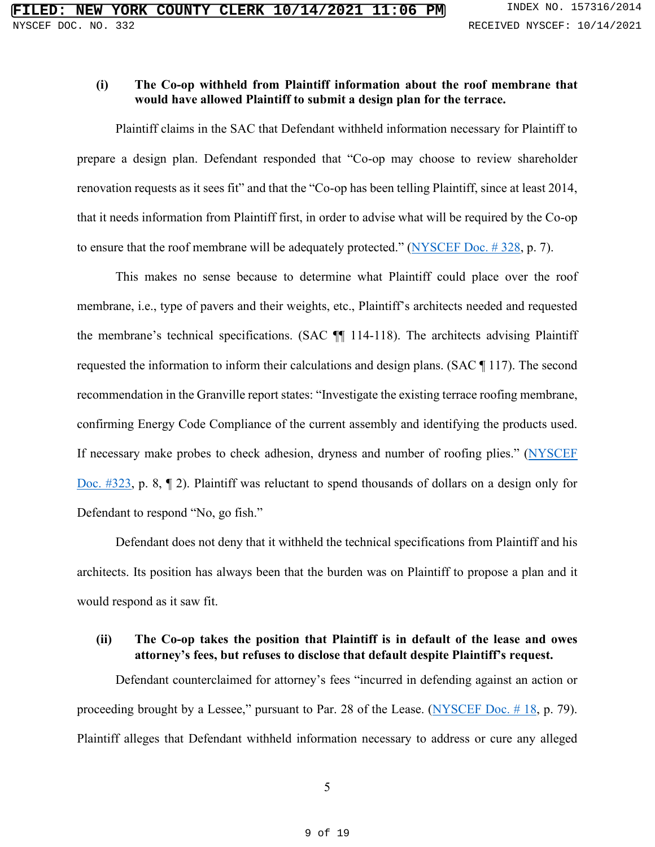## **(i) The Co-op withheld from Plaintiff information about the roof membrane that would have allowed Plaintiff to submit a design plan for the terrace.**

Plaintiff claims in the SAC that Defendant withheld information necessary for Plaintiff to prepare a design plan. Defendant responded that "Co-op may choose to review shareholder renovation requests as it sees fit" and that the "Co-op has been telling Plaintiff, since at least 2014, that it needs information from Plaintiff first, in order to advise what will be required by the Co-op to ensure that the roof membrane will be adequately protected." [\(NYSCEF Doc. # 328,](https://iapps.courts.state.ny.us/nyscef/ViewDocument?docIndex=sWykSavgCkk/jZWFKF91XA==) p. 7).

This makes no sense because to determine what Plaintiff could place over the roof membrane, i.e., type of pavers and their weights, etc., Plaintiff's architects needed and requested the membrane's technical specifications. (SAC ¶¶ 114-118). The architects advising Plaintiff requested the information to inform their calculations and design plans. (SAC ¶ 117). The second recommendation in the Granville report states: "Investigate the existing terrace roofing membrane, confirming Energy Code Compliance of the current assembly and identifying the products used. If necessary make probes to check adhesion, dryness and number of roofing plies." [\(NYSCEF](https://iapps.courts.state.ny.us/nyscef/ViewDocument?docIndex=5UAq0vO_PLUS_25xSvv6JYrV1Ag==)  [Doc. #323,](https://iapps.courts.state.ny.us/nyscef/ViewDocument?docIndex=5UAq0vO_PLUS_25xSvv6JYrV1Ag==) p. 8, ¶ 2). Plaintiff was reluctant to spend thousands of dollars on a design only for Defendant to respond "No, go fish."

Defendant does not deny that it withheld the technical specifications from Plaintiff and his architects. Its position has always been that the burden was on Plaintiff to propose a plan and it would respond as it saw fit.

# **(ii) The Co-op takes the position that Plaintiff is in default of the lease and owes attorney's fees, but refuses to disclose that default despite Plaintiff's request.**

Defendant counterclaimed for attorney's fees "incurred in defending against an action or proceeding brought by a Lessee," pursuant to Par. 28 of the Lease. [\(NYSCEF Doc. # 18,](https://iapps.courts.state.ny.us/nyscef/ViewDocument?docIndex=dqR7lIJcUSPaZBRROIn5aQ==) p. 79). Plaintiff alleges that Defendant withheld information necessary to address or cure any alleged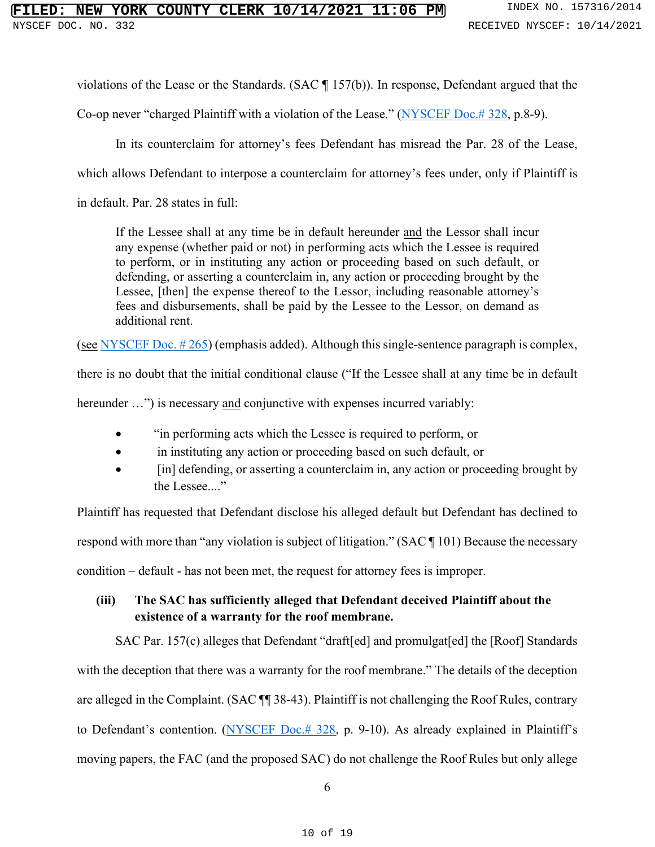violations of the Lease or the Standards. (SAC ¶ 157(b)). In response, Defendant argued that the

Co-op never "charged Plaintiff with a violation of the Lease." [\(NYSCEF Doc.# 328,](https://iapps.courts.state.ny.us/nyscef/ViewDocument?docIndex=sWykSavgCkk/jZWFKF91XA==) p.8-9).

In its counterclaim for attorney's fees Defendant has misread the Par. 28 of the Lease,

which allows Defendant to interpose a counterclaim for attorney's fees under, only if Plaintiff is

in default. Par. 28 states in full:

If the Lessee shall at any time be in default hereunder and the Lessor shall incur any expense (whether paid or not) in performing acts which the Lessee is required to perform, or in instituting any action or proceeding based on such default, or defending, or asserting a counterclaim in, any action or proceeding brought by the Lessee, [then] the expense thereof to the Lessor, including reasonable attorney's fees and disbursements, shall be paid by the Lessee to the Lessor, on demand as additional rent.

(see [NYSCEF Doc. # 265\)](https://iapps.courts.state.ny.us/nyscef/ViewDocument?docIndex=gLYxA6O7PSIlpMtb1CIVSg==) (emphasis added). Although this single-sentence paragraph is complex,

there is no doubt that the initial conditional clause ("If the Lessee shall at any time be in default

hereunder ...") is necessary and conjunctive with expenses incurred variably:

- "in performing acts which the Lessee is required to perform, or
- in instituting any action or proceeding based on such default, or
- **Fin** defending, or asserting a counterclaim in, any action or proceeding brought by the Lessee...."

Plaintiff has requested that Defendant disclose his alleged default but Defendant has declined to respond with more than "any violation is subject of litigation." (SAC ¶ 101) Because the necessary condition – default - has not been met, the request for attorney fees is improper.

# **(iii) The SAC has sufficiently alleged that Defendant deceived Plaintiff about the existence of a warranty for the roof membrane.**

SAC Par. 157(c) alleges that Defendant "draft[ed] and promulgat[ed] the [Roof] Standards with the deception that there was a warranty for the roof membrane." The details of the deception are alleged in the Complaint. (SAC ¶¶ 38-43). Plaintiff is not challenging the Roof Rules, contrary to Defendant's contention. [\(NYSCEF Doc.# 328,](https://iapps.courts.state.ny.us/nyscef/ViewDocument?docIndex=sWykSavgCkk/jZWFKF91XA==) p. 9-10). As already explained in Plaintiff's moving papers, the FAC (and the proposed SAC) do not challenge the Roof Rules but only allege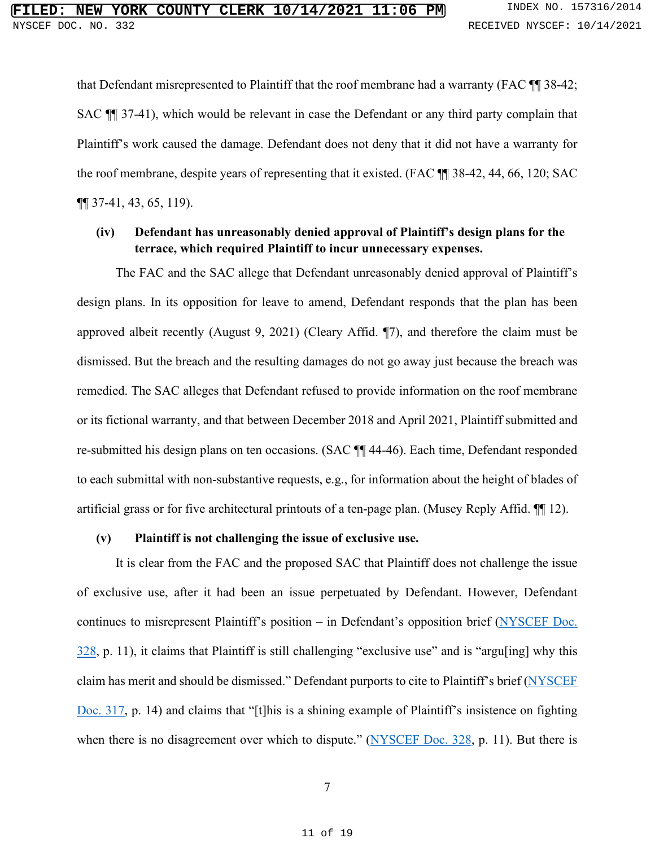that Defendant misrepresented to Plaintiff that the roof membrane had a warranty (FAC ¶¶ 38-42; SAC ¶¶ 37-41), which would be relevant in case the Defendant or any third party complain that Plaintiff's work caused the damage. Defendant does not deny that it did not have a warranty for the roof membrane, despite years of representing that it existed. (FAC ¶¶ 38-42, 44, 66, 120; SAC ¶¶ 37-41, 43, 65, 119).

## **(iv) Defendant has unreasonably denied approval of Plaintiff's design plans for the terrace, which required Plaintiff to incur unnecessary expenses.**

The FAC and the SAC allege that Defendant unreasonably denied approval of Plaintiff's design plans. In its opposition for leave to amend, Defendant responds that the plan has been approved albeit recently (August 9, 2021) (Cleary Affid. ¶7), and therefore the claim must be dismissed. But the breach and the resulting damages do not go away just because the breach was remedied. The SAC alleges that Defendant refused to provide information on the roof membrane or its fictional warranty, and that between December 2018 and April 2021, Plaintiff submitted and re-submitted his design plans on ten occasions. (SAC ¶¶ 44-46). Each time, Defendant responded to each submittal with non-substantive requests, e.g., for information about the height of blades of artificial grass or for five architectural printouts of a ten-page plan. (Musey Reply Affid. ¶¶ 12).

#### **(v) Plaintiff is not challenging the issue of exclusive use.**

It is clear from the FAC and the proposed SAC that Plaintiff does not challenge the issue of exclusive use, after it had been an issue perpetuated by Defendant. However, Defendant continues to misrepresent Plaintiff's position – in Defendant's opposition brief [\(NYSCEF Doc.](https://iapps.courts.state.ny.us/nyscef/ViewDocument?docIndex=sWykSavgCkk/jZWFKF91XA==)  [328,](https://iapps.courts.state.ny.us/nyscef/ViewDocument?docIndex=sWykSavgCkk/jZWFKF91XA==) p. 11), it claims that Plaintiff is still challenging "exclusive use" and is "argu[ing] why this claim has merit and should be dismissed." Defendant purports to cite to Plaintiff's brief [\(NYSCEF](https://iapps.courts.state.ny.us/nyscef/ViewDocument?docIndex=bUQp4xOMcphbJWVQv8k8gg==)  [Doc. 317,](https://iapps.courts.state.ny.us/nyscef/ViewDocument?docIndex=bUQp4xOMcphbJWVQv8k8gg==) p. 14) and claims that "[t]his is a shining example of Plaintiff's insistence on fighting when there is no disagreement over which to dispute." [\(NYSCEF Doc. 328,](https://iapps.courts.state.ny.us/nyscef/ViewDocument?docIndex=sWykSavgCkk/jZWFKF91XA==) p. 11). But there is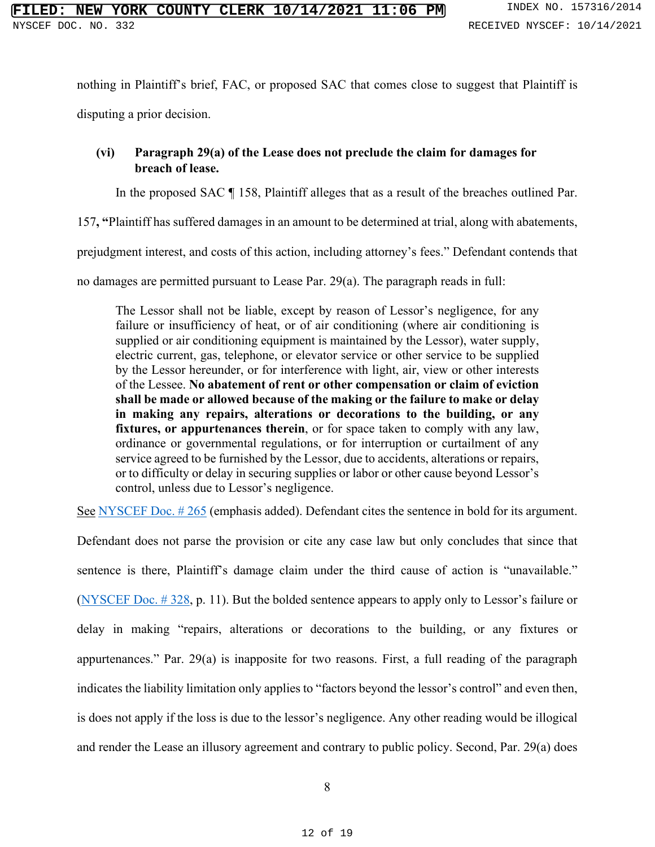nothing in Plaintiff's brief, FAC, or proposed SAC that comes close to suggest that Plaintiff is

disputing a prior decision.

# **(vi) Paragraph 29(a) of the Lease does not preclude the claim for damages for breach of lease.**

In the proposed SAC ¶ 158, Plaintiff alleges that as a result of the breaches outlined Par.

157**, "**Plaintiff has suffered damages in an amount to be determined at trial, along with abatements,

prejudgment interest, and costs of this action, including attorney's fees." Defendant contends that

no damages are permitted pursuant to Lease Par. 29(a). The paragraph reads in full:

The Lessor shall not be liable, except by reason of Lessor's negligence, for any failure or insufficiency of heat, or of air conditioning (where air conditioning is supplied or air conditioning equipment is maintained by the Lessor), water supply, electric current, gas, telephone, or elevator service or other service to be supplied by the Lessor hereunder, or for interference with light, air, view or other interests of the Lessee. **No abatement of rent or other compensation or claim of eviction shall be made or allowed because of the making or the failure to make or delay in making any repairs, alterations or decorations to the building, or any fixtures, or appurtenances therein**, or for space taken to comply with any law, ordinance or governmental regulations, or for interruption or curtailment of any service agreed to be furnished by the Lessor, due to accidents, alterations or repairs, or to difficulty or delay in securing supplies or labor or other cause beyond Lessor's control, unless due to Lessor's negligence.

See NYSCEF Doc. #265 (emphasis added). Defendant cites the sentence in bold for its argument.

Defendant does not parse the provision or cite any case law but only concludes that since that sentence is there, Plaintiff's damage claim under the third cause of action is "unavailable." [\(NYSCEF Doc. # 328,](https://iapps.courts.state.ny.us/nyscef/ViewDocument?docIndex=sWykSavgCkk/jZWFKF91XA==) p. 11). But the bolded sentence appears to apply only to Lessor's failure or delay in making "repairs, alterations or decorations to the building, or any fixtures or appurtenances." Par. 29(a) is inapposite for two reasons. First, a full reading of the paragraph indicates the liability limitation only applies to "factors beyond the lessor's control" and even then, is does not apply if the loss is due to the lessor's negligence. Any other reading would be illogical and render the Lease an illusory agreement and contrary to public policy. Second, Par. 29(a) does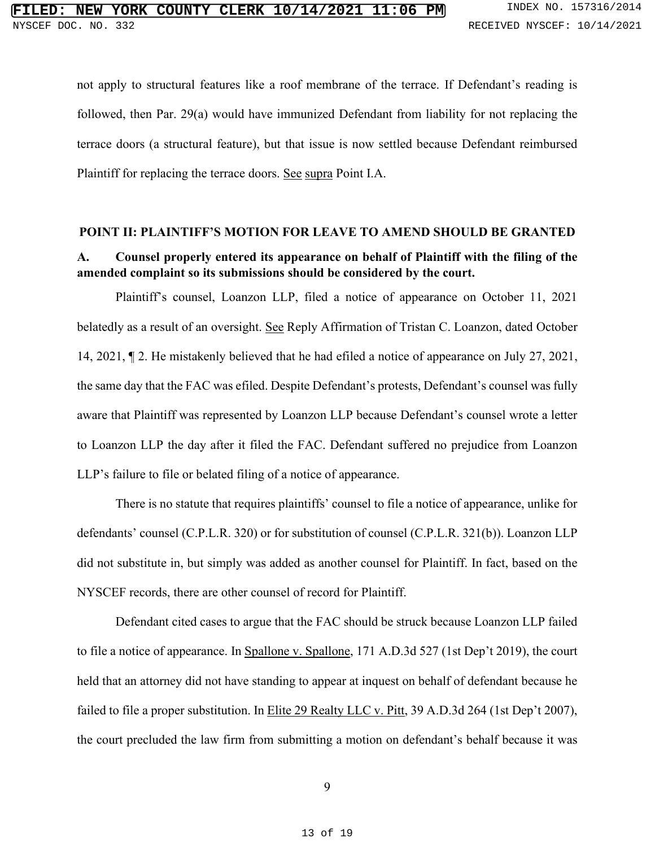not apply to structural features like a roof membrane of the terrace. If Defendant's reading is followed, then Par. 29(a) would have immunized Defendant from liability for not replacing the terrace doors (a structural feature), but that issue is now settled because Defendant reimbursed Plaintiff for replacing the terrace doors. See supra Point I.A.

#### **POINT II: PLAINTIFF'S MOTION FOR LEAVE TO AMEND SHOULD BE GRANTED**

## **A. Counsel properly entered its appearance on behalf of Plaintiff with the filing of the amended complaint so its submissions should be considered by the court.**

Plaintiff's counsel, Loanzon LLP, filed a notice of appearance on October 11, 2021 belatedly as a result of an oversight. See Reply Affirmation of Tristan C. Loanzon, dated October 14, 2021, ¶ 2. He mistakenly believed that he had efiled a notice of appearance on July 27, 2021, the same day that the FAC was efiled. Despite Defendant's protests, Defendant's counsel was fully aware that Plaintiff was represented by Loanzon LLP because Defendant's counsel wrote a letter to Loanzon LLP the day after it filed the FAC. Defendant suffered no prejudice from Loanzon LLP's failure to file or belated filing of a notice of appearance.

There is no statute that requires plaintiffs' counsel to file a notice of appearance, unlike for defendants' counsel (C.P.L.R. 320) or for substitution of counsel (C.P.L.R. 321(b)). Loanzon LLP did not substitute in, but simply was added as another counsel for Plaintiff. In fact, based on the NYSCEF records, there are other counsel of record for Plaintiff.

Defendant cited cases to argue that the FAC should be struck because Loanzon LLP failed to file a notice of appearance. In Spallone v. Spallone, 171 A.D.3d 527 (1st Dep't 2019), the court held that an attorney did not have standing to appear at inquest on behalf of defendant because he failed to file a proper substitution. In Elite 29 Realty LLC v. Pitt, 39 A.D.3d 264 (1st Dep't 2007), the court precluded the law firm from submitting a motion on defendant's behalf because it was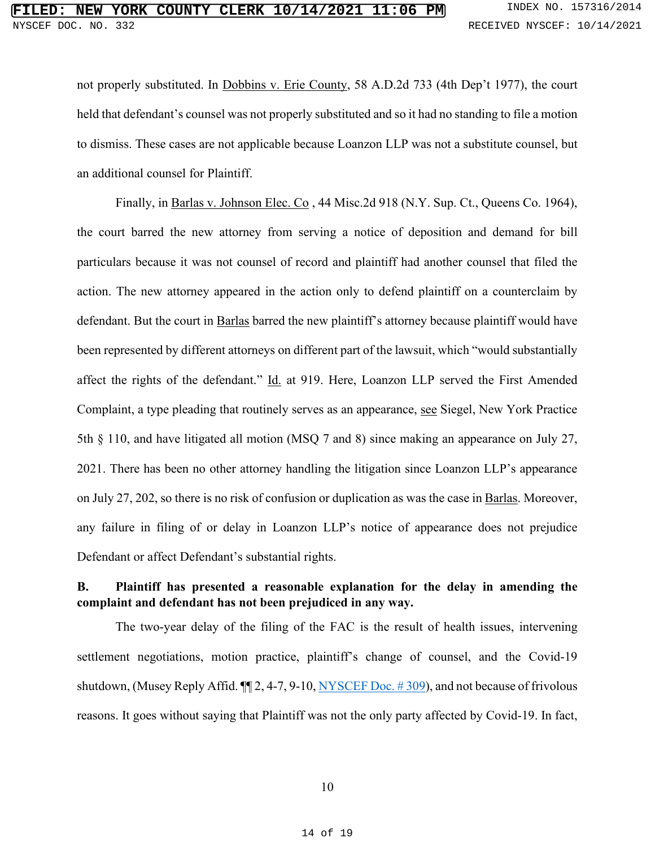not properly substituted. In Dobbins v. Erie County, 58 A.D.2d 733 (4th Dep't 1977), the court held that defendant's counsel was not properly substituted and so it had no standing to file a motion to dismiss. These cases are not applicable because Loanzon LLP was not a substitute counsel, but an additional counsel for Plaintiff.

Finally, in Barlas v. Johnson Elec. Co , 44 Misc.2d 918 (N.Y. Sup. Ct., Queens Co. 1964), the court barred the new attorney from serving a notice of deposition and demand for bill particulars because it was not counsel of record and plaintiff had another counsel that filed the action. The new attorney appeared in the action only to defend plaintiff on a counterclaim by defendant. But the court in Barlas barred the new plaintiff's attorney because plaintiff would have been represented by different attorneys on different part of the lawsuit, which "would substantially affect the rights of the defendant." Id. at 919. Here, Loanzon LLP served the First Amended Complaint, a type pleading that routinely serves as an appearance, see Siegel, New York Practice 5th § 110, and have litigated all motion (MSQ 7 and 8) since making an appearance on July 27, 2021. There has been no other attorney handling the litigation since Loanzon LLP's appearance on July 27, 202, so there is no risk of confusion or duplication as was the case in Barlas. Moreover, any failure in filing of or delay in Loanzon LLP's notice of appearance does not prejudice Defendant or affect Defendant's substantial rights.

# **B. Plaintiff has presented a reasonable explanation for the delay in amending the complaint and defendant has not been prejudiced in any way.**

The two-year delay of the filing of the FAC is the result of health issues, intervening settlement negotiations, motion practice, plaintiff's change of counsel, and the Covid-19 shutdown, (Musey Reply Affid. ¶¶ 2, 4-7, 9-10, [NYSCEF Doc. # 309\)](https://iapps.courts.state.ny.us/nyscef/ViewDocument?docIndex=pnpHErdYkNm6auSKE6mESQ==), and not because of frivolous reasons. It goes without saying that Plaintiff was not the only party affected by Covid-19. In fact,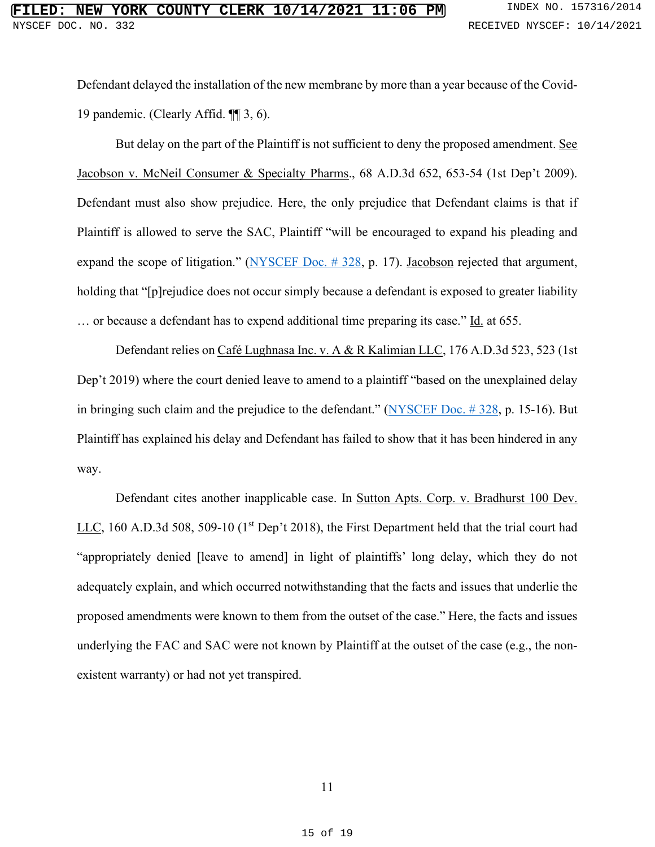Defendant delayed the installation of the new membrane by more than a year because of the Covid-19 pandemic. (Clearly Affid. ¶¶ 3, 6).

But delay on the part of the Plaintiff is not sufficient to deny the proposed amendment. See Jacobson v. McNeil Consumer & Specialty Pharms., 68 A.D.3d 652, 653-54 (1st Dep't 2009). Defendant must also show prejudice. Here, the only prejudice that Defendant claims is that if Plaintiff is allowed to serve the SAC, Plaintiff "will be encouraged to expand his pleading and expand the scope of litigation." [\(NYSCEF Doc. # 328,](https://iapps.courts.state.ny.us/nyscef/ViewDocument?docIndex=sWykSavgCkk/jZWFKF91XA==) p. 17). Jacobson rejected that argument, holding that "[p]rejudice does not occur simply because a defendant is exposed to greater liability ... or because a defendant has to expend additional time preparing its case." Id. at 655.

Defendant relies on Café Lughnasa Inc. v. A & R Kalimian LLC, 176 A.D.3d 523, 523 (1st Dep't 2019) where the court denied leave to amend to a plaintiff "based on the unexplained delay in bringing such claim and the prejudice to the defendant." [\(NYSCEF Doc. # 328,](https://iapps.courts.state.ny.us/nyscef/ViewDocument?docIndex=sWykSavgCkk/jZWFKF91XA==) p. 15-16). But Plaintiff has explained his delay and Defendant has failed to show that it has been hindered in any way.

Defendant cites another inapplicable case. In Sutton Apts. Corp. v. Bradhurst 100 Dev. LLC, 160 A.D.3d 508, 509-10 (1<sup>st</sup> Dep't 2018), the First Department held that the trial court had "appropriately denied [leave to amend] in light of plaintiffs' long delay, which they do not adequately explain, and which occurred notwithstanding that the facts and issues that underlie the proposed amendments were known to them from the outset of the case." Here, the facts and issues underlying the FAC and SAC were not known by Plaintiff at the outset of the case (e.g., the nonexistent warranty) or had not yet transpired.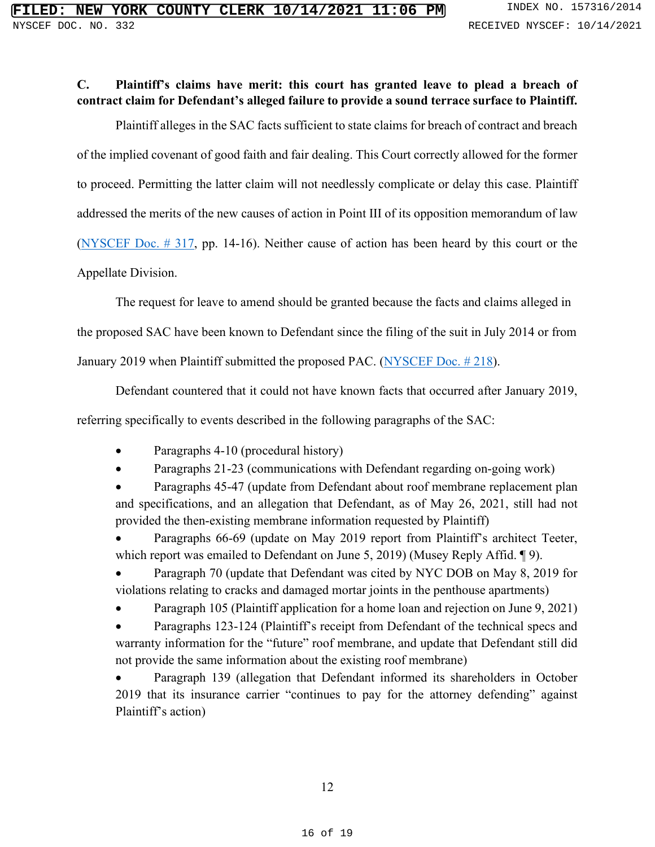# **C. Plaintiff's claims have merit: this court has granted leave to plead a breach of contract claim for Defendant's alleged failure to provide a sound terrace surface to Plaintiff.**

Plaintiff alleges in the SAC facts sufficient to state claims for breach of contract and breach of the implied covenant of good faith and fair dealing. This Court correctly allowed for the former to proceed. Permitting the latter claim will not needlessly complicate or delay this case. Plaintiff addressed the merits of the new causes of action in Point III of its opposition memorandum of law [\(NYSCEF Doc. #](https://iapps.courts.state.ny.us/nyscef/ViewDocument?docIndex=bUQp4xOMcphbJWVQv8k8gg==) 317, pp. 14-16). Neither cause of action has been heard by this court or the Appellate Division.

The request for leave to amend should be granted because the facts and claims alleged in

the proposed SAC have been known to Defendant since the filing of the suit in July 2014 or from

January 2019 when Plaintiff submitted the proposed PAC. (NYSCEF Doc. #218).

Defendant countered that it could not have known facts that occurred after January 2019,

referring specifically to events described in the following paragraphs of the SAC:

• Paragraphs 4-10 (procedural history)

• Paragraphs 21-23 (communications with Defendant regarding on-going work)

• Paragraphs 45-47 (update from Defendant about roof membrane replacement plan and specifications, and an allegation that Defendant, as of May 26, 2021, still had not provided the then-existing membrane information requested by Plaintiff)

Paragraphs 66-69 (update on May 2019 report from Plaintiff's architect Teeter, which report was emailed to Defendant on June 5, 2019) (Musey Reply Affid. 19).

• Paragraph 70 (update that Defendant was cited by NYC DOB on May 8, 2019 for violations relating to cracks and damaged mortar joints in the penthouse apartments)

• Paragraph 105 (Plaintiff application for a home loan and rejection on June 9, 2021)

Paragraphs 123-124 (Plaintiff's receipt from Defendant of the technical specs and warranty information for the "future" roof membrane, and update that Defendant still did not provide the same information about the existing roof membrane)

• Paragraph 139 (allegation that Defendant informed its shareholders in October 2019 that its insurance carrier "continues to pay for the attorney defending" against Plaintiff's action)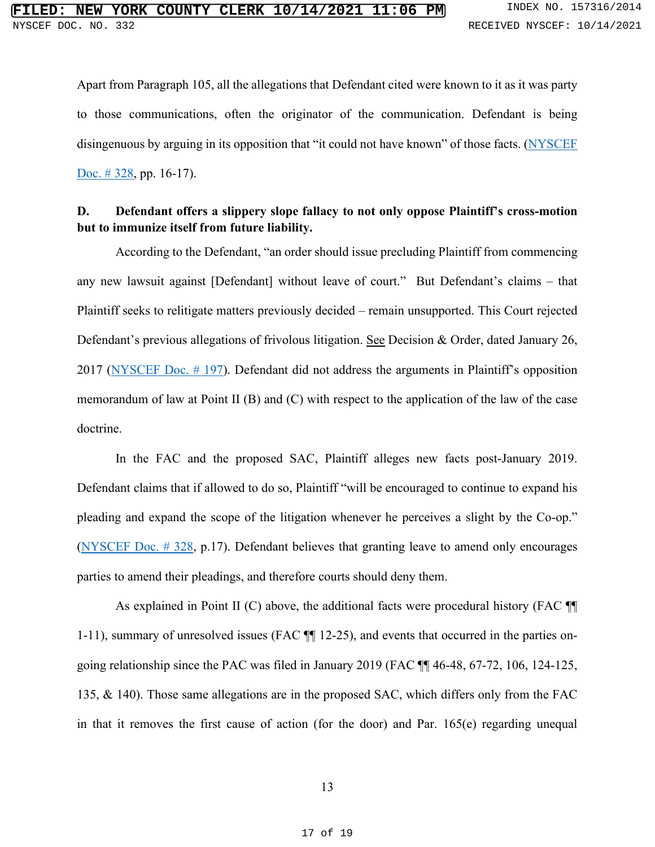Apart from Paragraph 105, all the allegations that Defendant cited were known to it as it was party to those communications, often the originator of the communication. Defendant is being disingenuous by arguing in its opposition that "it could not have known" of those facts. [\(NYSCEF](https://iapps.courts.state.ny.us/nyscef/ViewDocument?docIndex=sWykSavgCkk/jZWFKF91XA==)  Doc. #328, pp. 16-17).

## **D. Defendant offers a slippery slope fallacy to not only oppose Plaintiff's cross-motion but to immunize itself from future liability.**

According to the Defendant, "an order should issue precluding Plaintiff from commencing any new lawsuit against [Defendant] without leave of court." But Defendant's claims – that Plaintiff seeks to relitigate matters previously decided – remain unsupported. This Court rejected Defendant's previous allegations of frivolous litigation. See Decision & Order, dated January 26, 2017 [\(NYSCEF Doc. # 197\)](https://iapps.courts.state.ny.us/nyscef/ViewDocument?docIndex=/_PLUS_e_PLUS_jn5Z7UmWl77Xuyi8_PLUS_A==). Defendant did not address the arguments in Plaintiff's opposition memorandum of law at Point II (B) and (C) with respect to the application of the law of the case doctrine.

In the FAC and the proposed SAC, Plaintiff alleges new facts post-January 2019. Defendant claims that if allowed to do so, Plaintiff "will be encouraged to continue to expand his pleading and expand the scope of the litigation whenever he perceives a slight by the Co-op." [\(NYSCEF Doc. # 328,](https://iapps.courts.state.ny.us/nyscef/ViewDocument?docIndex=sWykSavgCkk/jZWFKF91XA==) p.17). Defendant believes that granting leave to amend only encourages parties to amend their pleadings, and therefore courts should deny them.

As explained in Point II (C) above, the additional facts were procedural history (FAC  $\P$ 1-11), summary of unresolved issues (FAC ¶¶ 12-25), and events that occurred in the parties ongoing relationship since the PAC was filed in January 2019 (FAC ¶¶ 46-48, 67-72, 106, 124-125, 135, & 140). Those same allegations are in the proposed SAC, which differs only from the FAC in that it removes the first cause of action (for the door) and Par. 165(e) regarding unequal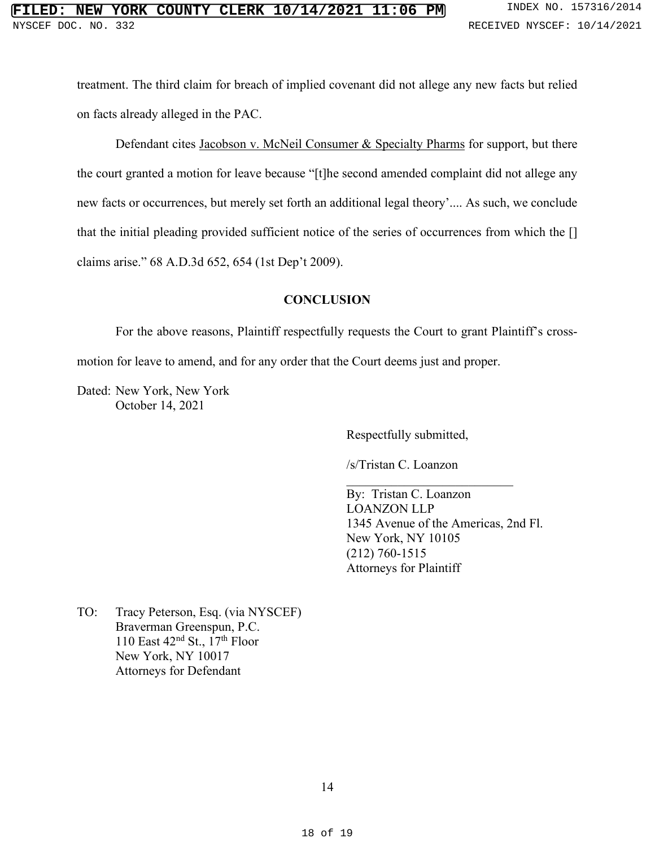# **FILED: NEW YORK COUNTY CLERK 10/14/2021 11:06 PM** INDEX NO. 157316/2014 NYSCEF DOC. NO. 332 **RECEIVED NYSCEF: 10/14/2021**

treatment. The third claim for breach of implied covenant did not allege any new facts but relied on facts already alleged in the PAC.

Defendant cites Jacobson v. McNeil Consumer & Specialty Pharms for support, but there the court granted a motion for leave because "[t]he second amended complaint did not allege any new facts or occurrences, but merely set forth an additional legal theory'.... As such, we conclude that the initial pleading provided sufficient notice of the series of occurrences from which the [] claims arise." 68 A.D.3d 652, 654 (1st Dep't 2009).

## **CONCLUSION**

For the above reasons, Plaintiff respectfully requests the Court to grant Plaintiff's crossmotion for leave to amend, and for any order that the Court deems just and proper.

Dated: New York, New York October 14, 2021

Respectfully submitted,

/s/Tristan C. Loanzon

By: Tristan C. Loanzon LOANZON LLP 1345 Avenue of the Americas, 2nd Fl. New York, NY 10105 (212) 760-1515 Attorneys for Plaintiff

\_\_\_\_\_\_\_\_\_\_\_\_\_\_\_\_\_\_\_\_\_\_\_\_\_\_

TO: Tracy Peterson, Esq. (via NYSCEF) Braverman Greenspun, P.C. 110 East  $42<sup>nd</sup>$  St.,  $17<sup>th</sup>$  Floor New York, NY 10017 Attorneys for Defendant